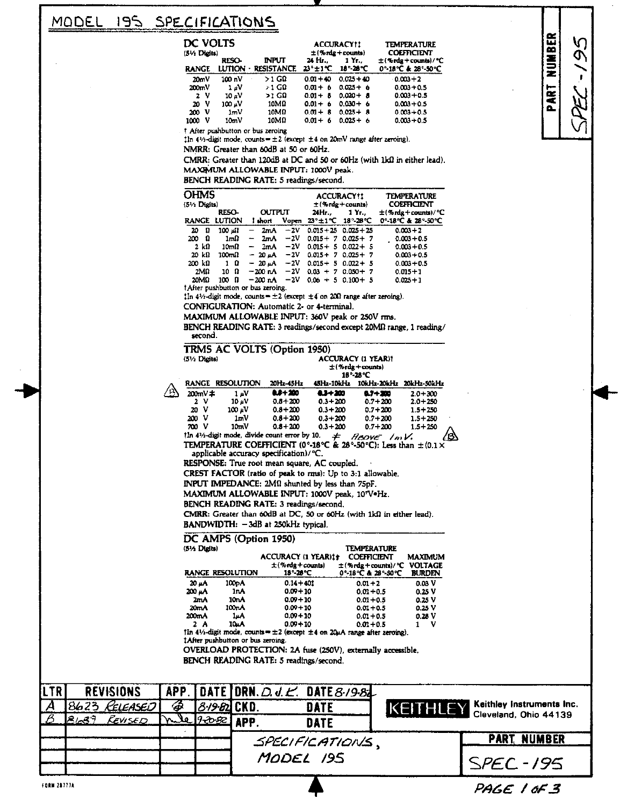#### 195 MODEL SPECIFICATIONS

## DC VOLTE

| DL VULIJ<br>$(5\% \text{ Dldits})$ |                                            |                                   |             | <b>ALLUMALTII</b><br>$\pm$ (% rdg + counts) | ILMI LIVA I UKL<br><b>COEFFICIENT</b>            |  |
|------------------------------------|--------------------------------------------|-----------------------------------|-------------|---------------------------------------------|--------------------------------------------------|--|
| <b>RANGE</b>                       | <b>RESO-</b><br><b>LUTION</b><br>$\bullet$ | <b>INPUT</b><br><b>RESISTANCE</b> | 24 Hr.      | $1Yr$ .<br>23°±1°C 18°-28°C                 | $\pm$ (% rdg + counts)/ °C<br>0°-18°C & 28°-50°C |  |
| 20mV                               | 100 <sub>n</sub> V                         | $>1$ GQ                           | $0.01 + 40$ | $0.025 + 40$                                | $0.003 + 2$                                      |  |
| 200mV                              | 1 aV                                       | > 1 CΩ                            | $0.01 + 6$  | $0.025 + 6$                                 | $0.003 + 0.5$                                    |  |
| 2 V                                | 10 aV                                      | >1 CO                             | $0.01 + 8$  | $0.020 + 8$                                 | $0.003 + 0.5$                                    |  |
| 20 V                               | 100 uV                                     | <b>10ΜΩ</b>                       | $0.01 + 6$  | $0.030 + 6$                                 | $0.003 + 0.5$                                    |  |
| 200 V                              | 1mV                                        | 10MQ                              | $0.01 + 8$  | $0.025 + 8$                                 | $0.003 + 0.5$                                    |  |
| ν<br>1000                          | 10 <sub>m</sub> V                          | 10MQ                              | $0.01 + 6$  | $0.025 + 6$                                 | $0.003 + 0.5$                                    |  |
|                                    |                                            |                                   |             |                                             |                                                  |  |

† After pushbutton or bus zeroing

Iln 41/2-digit mode, counts =  $\pm 2$  (except  $\pm 4$  on 20mV range after zeroing).

NMRR: Greater than 60dB at 50 or 60Hz.

CMRR: Greater than 120dB at DC and 50 or 60Hz (with 1kΩ in either lead). MAXIMUM ALLOWABLE INPUT: 1000V peak.

BENCH READING RATE: 5 readings/second.

| <b>OHMS</b><br>(5 <sup>1</sup> / <sub>2</sub> Dists) |              |                                   |       |             | <b>ACCURACY!!</b><br>$\pm$ (% rdg + counts)                 | <b>TEMPERATURE</b><br>COEFFICIENT |
|------------------------------------------------------|--------------|-----------------------------------|-------|-------------|-------------------------------------------------------------|-----------------------------------|
|                                                      | RESO-        | <b>OUTPUT</b>                     |       | 24Hr        | 1 Yr. .                                                     | $\pm$ (%rdg+counts)/°C            |
| <b>RANGE</b>                                         | LUTION       | I short                           | Vopen |             | $23^{\circ} \pm 1^{\circ}$ C 18 $^{\circ}$ -28 $^{\circ}$ C | 0°-18°C & 28°-50°C                |
| Ω<br>20                                              | 100 M        | 2m A                              | $-2V$ |             | $0.015 + 25 \cdot 0.025 + 25$                               | $0.003 + 2$                       |
| 200<br>n                                             | $1m\Omega$   | $2\pi A$<br>$\qquad \qquad$       | $-2V$ |             | $0.015 + 7.0.025 + 7$                                       | $0.003 + 0.5$                     |
| 2 kO                                                 | 10mQ         | 2mA<br>-                          | $-2V$ |             | $0.015 + 5.0.022 + 5$                                       | $0.003 + 0.5$                     |
| 20 kB                                                | $100m\Omega$ | - 20 aA                           | $-2V$ | $0.015 + 7$ | $0.025 + 7$                                                 | $0.003 + 0.5$                     |
| 200 kΩ                                               | Ω<br>1       | $-20 \mu A$                       | $-2V$ |             | $0.015 + 5 0.022 + 5$                                       | $0.003 + 0.5$                     |
| 2M <sub>0</sub>                                      | - 0<br>10    | $-200 nA$                         | $-2V$ | $0.03 + 7$  | $0.050 + 7$                                                 | $0.015 + 1$                       |
| 20ΜΩ                                                 | n<br>100     | $-200$ nA                         | $-2V$ |             | $0.06 + 5$ 0.100 + 5                                        | $0.025 + 1$                       |
|                                                      |              | TAfter pushbutton or bus zeroing. |       |             |                                                             |                                   |

 $1\ln 4\frac{1}{2}$ -digit mode, counts =  $\pm 2$  (except  $\pm 4$  on 200 range after zeroing).

CONFIGURATION: Automatic 2- or 4-terminal.

MAXIMUM ALLOWABLE INPUT: 360V peak or 250V rms.

BENCH READING RATE: 3 readings/second except 20MQ range, 1 reading/

|            |      | secunu.                |                                                                                          |                                |                            |                                    |                            |
|------------|------|------------------------|------------------------------------------------------------------------------------------|--------------------------------|----------------------------|------------------------------------|----------------------------|
|            |      |                        | TRMS AC VOLTS (Option 1950)                                                              |                                |                            |                                    |                            |
|            |      | $(5\% \text{ Didits})$ |                                                                                          |                                |                            | <b>ACCURACY (1 YEAR)1</b>          |                            |
|            |      |                        |                                                                                          |                                |                            | 士(%rdg+counts)                     |                            |
|            |      |                        |                                                                                          |                                |                            | 18°-28°C                           |                            |
|            |      |                        | RANGE RESOLUTION                                                                         | 20Hz-45Hz                      |                            | 45Hz-10kHz 10kHz-20kHz 20kHz-50kHz |                            |
|            |      | $200mV \neq$           | 1 uV                                                                                     | 8.F+200                        | 434200                     | 0.7+200                            | $2.0 + 300$                |
|            |      | 2 V                    | $10 \mu V$                                                                               | $0.6 + 200$                    | $0.3 + 200$                | $0.7 + 200$                        | $2.0 + 250$                |
|            |      | 20 V<br>200 V          | 100 .V<br>1mV                                                                            | $0.8 + 200$<br>$0.8 + 200$     | $0.3 + 200$<br>$0.3 + 200$ | $0.7 + 200$<br>$0.7 + 200$         | $1.5 + 250$<br>$1.5 + 250$ |
|            |      | 700 V                  | 10mV                                                                                     | $0.6 + 200$                    | $0.3 + 200$                | $0.7 + 200$                        | $1.5 + 250$                |
|            |      |                        | 1In 41/2-digit mode, divide count error by 10.                                           |                                | ≠                          | ABOVE InV.                         |                            |
|            |      |                        | TEMPERATURE COEFFICIENT (0°-18°C & 28°-50°C): Less than $\pm$ (0.1 ×                     |                                |                            |                                    |                            |
|            |      |                        | applicable accuracy specification)/°C.                                                   |                                |                            |                                    |                            |
|            |      |                        | RESPONSE: True root mean square, AC coupled.                                             |                                |                            |                                    |                            |
|            |      |                        | CREST FACTOR (ratio of peak to rms): Up to 3:1 allowable.                                |                                |                            |                                    |                            |
|            |      |                        | <b>INPUT IMPEDANCE: 2MQ</b> shunted by less than 75pF.                                   |                                |                            |                                    |                            |
|            |      |                        | MAXIMUM ALLOWABLE INPUT: 1000V peak, 107V.Hz.                                            |                                |                            |                                    |                            |
|            |      |                        | BENCH READING RATE: 3 readings/second.                                                   |                                |                            |                                    |                            |
|            |      |                        | CMRR: Greater than 60dB at DC, 50 or 60Hz (with 1k0 in either lead).                     |                                |                            |                                    |                            |
|            |      |                        |                                                                                          |                                |                            |                                    |                            |
|            |      |                        | BANDWIDTH: - 3dB at 250kHz typical.                                                      |                                |                            |                                    |                            |
|            |      |                        | DC AMPS (Option 1950)                                                                    |                                |                            |                                    |                            |
|            |      | (51⁄2 Digits)          |                                                                                          |                                |                            | TEMPERATURE                        |                            |
|            |      |                        |                                                                                          | ACCURACY (1 YEAR)1†            |                            | COEFFICIENT                        | <b>MAXIMUM</b>             |
|            |      |                        |                                                                                          | $\pm$ (%rdg + counts)          |                            | ±(%rdg+counts)/°C VOLTAGE          |                            |
|            |      |                        | <b>RANGE RESOLUTION</b>                                                                  | 18°-28°C                       |                            | 0'-18℃ & 28'-50℃                   | <b>BURDEN</b>              |
|            |      | 20 µA                  | 100pA                                                                                    | $0.14 + 401$                   |                            | $0.01 + 2$                         | 0.03 V                     |
|            |      | 200 µA<br>2mA          | 1nA<br>10nA                                                                              | $0.09 + 10$<br>$0.09 + 10$     |                            | $0.01 + 0.5$                       | 0.25 V<br>0.25 V           |
|            |      | 20 <sub>m</sub> A      | 100nA                                                                                    | $0.09 + 10$                    |                            | $0.01 + 0.5$<br>$0.01 - 0.5$       | 0.25 V                     |
|            |      | 200mA                  | 1aA                                                                                      | $0.09 + 10$                    |                            | $0.01 + 0.5$                       | 0.28 V                     |
|            |      | 2 A                    | 10uA                                                                                     | $0.09 + 10$                    |                            | $0.01 + 0.5$                       | v<br>1.                    |
|            |      |                        | In 41/2-digit mode, counts = $\pm 2$ (except $\pm 4$ on 20 $\mu$ A range after zeroing). |                                |                            |                                    |                            |
|            |      |                        | 1 After pushbutton or bus zeroing.                                                       |                                |                            |                                    |                            |
|            |      |                        | OVERLOAD PROTECTION: 2A fuse (250V), externally accessible.                              |                                |                            |                                    |                            |
|            |      |                        | BENCH READING RATE: 5 readings/second.                                                   |                                |                            |                                    |                            |
|            |      |                        |                                                                                          |                                |                            |                                    |                            |
|            |      |                        |                                                                                          |                                |                            |                                    |                            |
| Ŝ          | APP. |                        | <b>DATE</b> 1                                                                            | DRN. $\triangle$ d. $\angle$ . | DATE 8-19-82               |                                    |                            |
| <u>SEJ</u> |      |                        | <i>8:19:6</i> 2 CKD.                                                                     |                                | <b>DATE</b>                |                                    |                            |
|            | λo   | 9-20-52                |                                                                                          |                                |                            |                                    | KEITHLEY                   |
| $\omega$   |      |                        | APP.                                                                                     |                                | <b>DATE</b>                |                                    |                            |
|            |      |                        |                                                                                          |                                |                            |                                    |                            |
|            |      |                        |                                                                                          |                                | SPECIFICATIONS             |                                    |                            |

MODEL 195

struments Inc. Ohio 44139

NUMBER

PART I

λ<br>Φ

|            | <u>PART NUMBER</u> |
|------------|--------------------|
| SPEC - 195 |                    |

PAGE 1 OF 3

FORM 28777A

**LTR** 

REVISION

Relea

Revis

8623

 $8/37$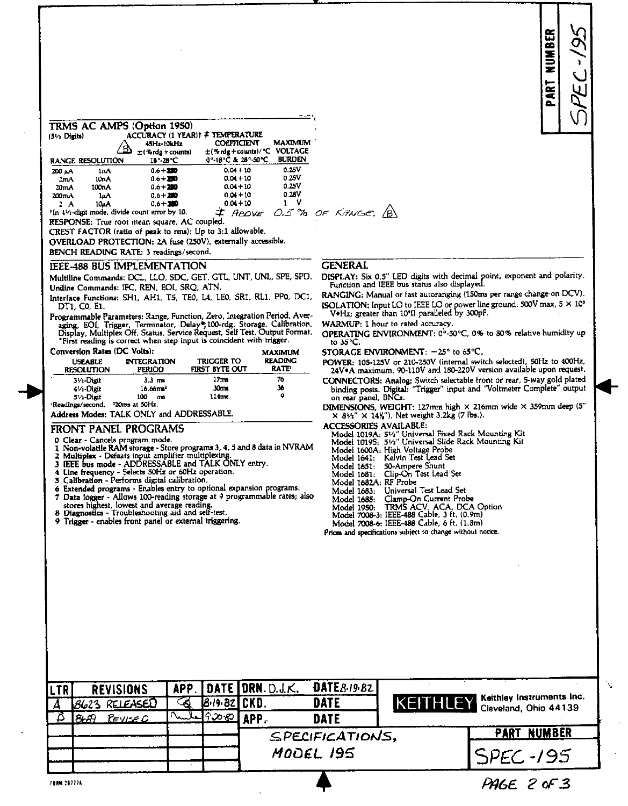| $(5/1$ Digits)    |                  | TRMS AC AMPS (Option 1950)<br>ACCURACY (1 YEAR) † TEMPERATURE<br>45Hz-10kHz<br><u>s</u><br>$\pm$ (%rdg + counts) | <b>COEFFICIENT</b><br>$\pm$ (% rdg + counts)/ °C | <b>MAXIMUM</b><br><b>VOLTAGE</b> |    |
|-------------------|------------------|------------------------------------------------------------------------------------------------------------------|--------------------------------------------------|----------------------------------|----|
|                   | RANGE RESOLUTION | 18-28°C                                                                                                          | 0°-18°C & 28°-50°C                               | <b>BURDEN</b>                    |    |
| 200 LA            | 1 I.A            | $0.6 + 200$                                                                                                      | $0.04 + 10$                                      | 0.25V                            |    |
| 2mA               | 10nA             | $0.6 + 200$                                                                                                      | $0.04 + 10$                                      | 0.25V                            |    |
| 20 <sub>m</sub> A | 100n A           | $0.6 + 200$                                                                                                      | $0.04 + 10$                                      | 0.25V                            |    |
| 200 <sub>mA</sub> | 1. A             | $0.6 + 200$                                                                                                      | $0.04 + 10$                                      | 0.28V                            |    |
| 2 A               | 10.LA            | $0.6 + 200$                                                                                                      | $0.04 + 10$                                      |                                  |    |
|                   |                  | tIn 41/2-digit mode, divide count error by 10.                                                                   | <b>AAO IF</b>                                    | $\sim 7$                         | つ戸 |

RESPONSE: True root mean square, AC coupled.

CREST FACTOR (ratio of peak to rms); Up to 3:1 allowable.

OVERLOAD PROTECTION: 2A fuse (250V), externally accessible.

BENCH READING RATE: 3 readings/second.

#### **IEEE-488 BUS IMPLEMENTATION**

Multiline Commands: DCL, LLO, SDC, GET, GTL, UNT, UNL, SPE, SPD. Uniline Commands: IFC, REN, EOI, SRQ, ATN.

Interface Functions: SH1, AH1, T5, TEO, L4, LEO, SR1, RL1, PPO, DC1, DT1, C0, E1.

Programmable Parameters: Range, Function, Zero, Integration Period, Averaging, EOI, Trigger, Terminator, Delay\*, 100-rdg. Storage, Calibration, Display, Multiplex Off, Status, Service Request, Self Test, Output Format. "First reading is correct when step input is coincident with trigger. r

| Conversion Kates (DC Volts);        |                                                 |                              | <b>MAXIMUM</b>                |  |  |
|-------------------------------------|-------------------------------------------------|------------------------------|-------------------------------|--|--|
| <b>USEABLE</b><br><b>RESOLUTION</b> | <b>INTEGRATION</b><br><b>PERIOD</b>             | TRIGGER TO<br>FIRST BYTE OUT | <b>READING</b><br><b>RATE</b> |  |  |
| 31/2-Digit                          | $3.3 \text{ ms}$                                | 17ms                         | 76                            |  |  |
| $-1/1$ -Digit                       | 16.66ma <sup>1</sup>                            | 30ms                         | 36                            |  |  |
| 51/ <sub>1</sub> Digit              | 100<br>ms                                       | 114ms                        | 9                             |  |  |
| <b>Deadle as Innoced</b>            | $220 \, \text{m}$ $\rightarrow 50 \, \text{Hz}$ |                              |                               |  |  |

Address Modes: TALK ONLY and ADDRESSABLE.

## FRONT PANEL PROGRAMS

- Clear Cancels program mode.
- Non-volatile RAM storage Store programs 3, 4, 5 and 8 data in NVRAM
- 2 Multiplex Defeats input amplifier multiplexing.<br>
3 IEEE bus mode ADDRESSABLE and TALK ONLY entry.<br>
4 Line frequency Selects 50Hz or 60Hz operation.<br>
5 Calibration Performs digital calibration.
- 
- 
- 
- Extended programs Enables entry to optional expansion programs.
- Data logger Allows 100-reading storage at 9 programmable rates; also
- stores highest, lowest and average reading.<br>Diagnostics Troubleshooting aid and self-test.
- 
- 9 Trigger enables front panel or external triggering.

### **GENERAL**

 $K$ *INGE*  $/R$ 

وسام

DISPLAY: Six 0.5" LED digits with decimal point, exponent and polarity. Function and IEEE bus status also displayed.

RANGING: Manual or fast autoranging (150ms per range change on DCV). ISOLATION: Input LO to IEEE LO or power line ground: 500V max,  $5 \times 10^5$ <br>V+Hz; greater than 10°Q paralleled by 300pF.

WARMUP: 1 hour to rated accuracy.

OPERATING ENVIRONMENT: 0°-50°C, 0% to 80% relative humidity up to  $35^{\circ}$ C.

STORAGE ENVIRONMENT:  $-25^\circ$  to 65°C.

POWER: 105-125V or 210-250V (internal switch selected), S0Hz to 400Hz, 24V \*A maximum. 90-110V and 180-220V version available upon request.

CONNECTORS: Analog: Switch selectable front or rear, 5-way gold plated<br>binding posts. Digital: 'Trigger'' input and ''Voltmeter Complete'' output on rear panel, BNCs.

DIMENSIONS, WEIGHT: 127mm high  $\times$  216mm wide  $\times$  359mm deep (5"  $\times$  81/2"  $\times$  14%"). Net weight 3.2kg (7 lbs.).

**ACCESSORIES AVAILABLE:** 

Model 1019A: 51/2" Universal Fixed Rack Mounting Kit<br>Model 1019S: 51/2" Universal Slide Rack Mounting Kit

- Model 1600A: High Voltage Probe
- Kelvin Test Lead Set Model 1641:
- Model 1651: 50-Ampere Shunt<br>Model 1681: Clip-On Test Lead Set<br>Model 1682A: RF Probe
- 
- 
- Universal Test Lead Set Model 1683:
- 
- 
- 
- Model 1685: Clamp-On Current Probe<br>Model 1685: Clamp-On Current Probe<br>Model 7008-3: IEEE-488 Cable, 3 ft. (0.9m)<br>Model 7008-6: IEEE-488 Cable, 6 ft. (1.8m)

Prices and specifications subject to change without notice.

| LTRI | <b>REVISIONS</b><br>$Bb23$ RELEASED | ৰ্ব্ব | <b>B.19.82 CKD.</b>         | APP. DATE DRN. D.J.K. | DATE8-19-82<br><b>DATE</b> |  | KETTHLEY Keithley Instruments Inc. |
|------|-------------------------------------|-------|-----------------------------|-----------------------|----------------------------|--|------------------------------------|
|      | $869$ Revise 0                      |       | $\sqrt{12.286 \text{ App}}$ |                       | <b>DATE</b>                |  |                                    |
|      |                                     |       |                             |                       | SPECIFICATIONS,            |  | <b>PART NUMBER</b>                 |
|      |                                     |       |                             |                       | MODEL 195                  |  | SPEC-195                           |
|      |                                     |       |                             |                       |                            |  |                                    |

PAGE 2 of 3